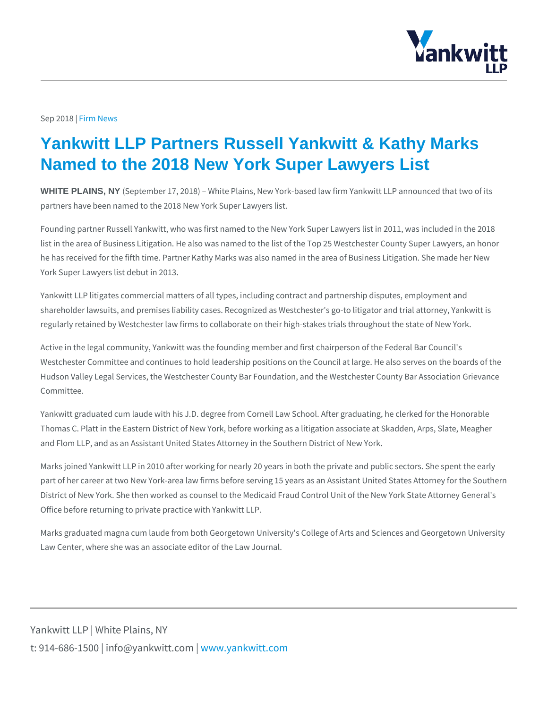## Sep 20F1i8m News

## Yankwitt LLP Partners Russell Yankwitt & Kathy Marks Named to the 2018 New York Super Lawyers List

WHITE PLAINS, NY (September 17, 2018) White Plains, New York-based law firm Yank partners have been named to the 2018 New York Super Lawyers list.

Founding partner Russell Yankwitt, who was first named to the New York Super L list in the area of Business Litigation. He also was named to the list of the Top 2 he has received for the fifth time. Partner Kathy Marks was also named in the ar York Super Lawyers list debut in 2013.

Yankwitt LLP litigates commercial matters of all types, including contract and pa shareholder lawsuits, and premises liability cases. Recognized as Westchester's regularly retained by Westchester law firms to collaborate on their high-stakes t

Active in the legal community, Yankwitt was the founding member and first chairp Westchester Committee and continues to hold leadership positions on the Counci Hudson Valley Legal Services, the Westchester County Bar Foundation, and the \ Committee.

Yankwitt graduated cum laude with his J.D. degree from Cornell Law School. Afte Thomas C. Platt in the Eastern District of New York, before working as a litigation and Flom LLP, and as an Assistant United States Attorney in the Southern Distric

Marks joined Yankwitt LLP in 2010 after working for nearly 20 years in both the private and public sectors. She part of her career at two New York-area law firms before serving 15 years as an District of New York. She then worked as counsel to the Medicaid Fraud Control Office before returning to private practice with Yankwitt LLP.

Marks graduated magna cum laude from both Georgetown University's College of Law Center, where she was an associate editor of the Law Journal.

Yankwitt LLP | White Plains, NY t:  $914 - 686 - 1500$  | info@y wawn ky wom it kt wo it between  $p$  m.